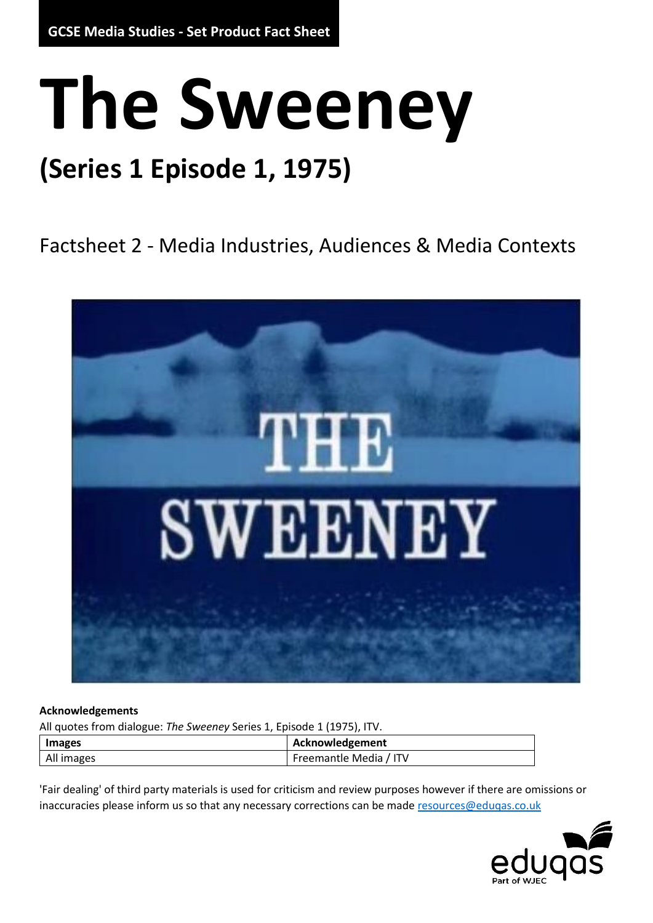# **The Sweeney**

# **(Series 1 Episode 1, 1975)**

Factsheet 2 - Media Industries, Audiences & Media Contexts



#### **Acknowledgements**

All quotes from dialogue: *The Sweeney* Series 1, Episode 1 (1975), ITV.

| <b>Images</b> |  | Acknowledgement        |
|---------------|--|------------------------|
| All images    |  | Freemantle Media / ITV |

'Fair dealing' of third party materials is used for criticism and review purposes however if there are omissions or inaccuracies please inform us so that any necessary corrections can be mad[e resources@eduqas.co.uk](mailto:resources@eduqas.co.uk)

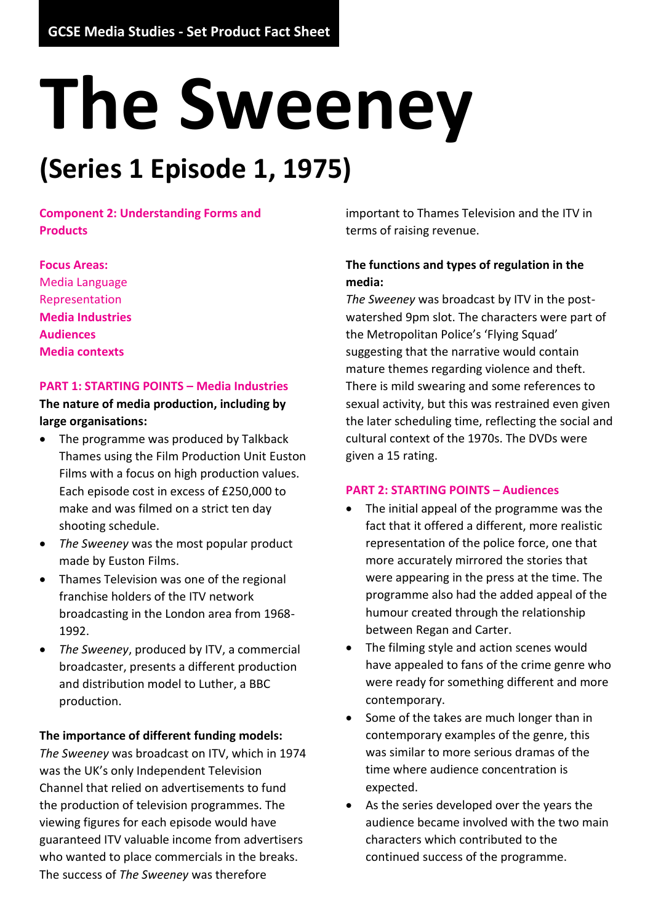# **The Sweeney**

# **(Series 1 Episode 1, 1975)**

**Component 2: Understanding Forms and Products**

**Focus Areas:** Media Language Representation **Media Industries Audiences Media contexts**

#### **PART 1: STARTING POINTS – Media Industries**

**The nature of media production, including by large organisations:**

- The programme was produced by Talkback Thames using the Film Production Unit Euston Films with a focus on high production values. Each episode cost in excess of £250,000 to make and was filmed on a strict ten day shooting schedule.
- *The Sweeney* was the most popular product made by Euston Films.
- Thames Television was one of the regional franchise holders of the ITV network broadcasting in the London area from 1968- 1992.
- *The Sweeney*, produced by ITV, a commercial broadcaster, presents a different production and distribution model to Luther, a BBC production.

#### **The importance of different funding models:**

*The Sweeney* was broadcast on ITV, which in 1974 was the UK's only Independent Television Channel that relied on advertisements to fund the production of television programmes. The viewing figures for each episode would have guaranteed ITV valuable income from advertisers who wanted to place commercials in the breaks. The success of *The Sweeney* was therefore

important to Thames Television and the ITV in terms of raising revenue.

## **The functions and types of regulation in the media:**

*The Sweeney* was broadcast by ITV in the postwatershed 9pm slot. The characters were part of the Metropolitan Police's 'Flying Squad' suggesting that the narrative would contain mature themes regarding violence and theft. There is mild swearing and some references to sexual activity, but this was restrained even given the later scheduling time, reflecting the social and cultural context of the 1970s. The DVDs were given a 15 rating.

#### **PART 2: STARTING POINTS – Audiences**

- The initial appeal of the programme was the fact that it offered a different, more realistic representation of the police force, one that more accurately mirrored the stories that were appearing in the press at the time. The programme also had the added appeal of the humour created through the relationship between Regan and Carter.
- The filming style and action scenes would have appealed to fans of the crime genre who were ready for something different and more contemporary.
- Some of the takes are much longer than in contemporary examples of the genre, this was similar to more serious dramas of the time where audience concentration is expected.
- As the series developed over the years the audience became involved with the two main characters which contributed to the continued success of the programme.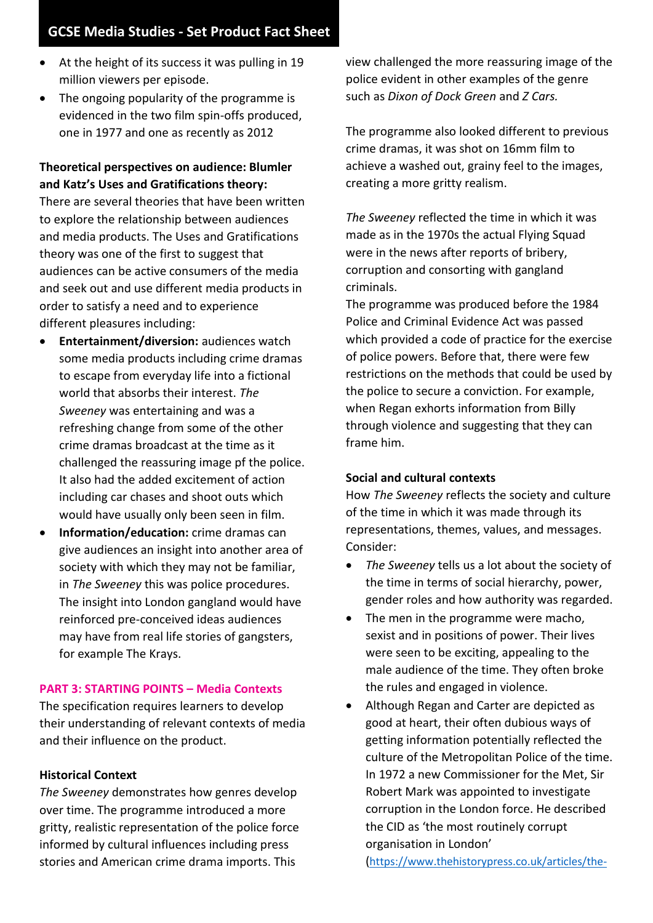## **GCSE Media Studies - Set Product Fact Sheet**

- At the height of its success it was pulling in 19 million viewers per episode.
- The ongoing popularity of the programme is evidenced in the two film spin-offs produced. one in 1977 and one as recently as 2012

### **Theoretical perspectives on audience: Blumler and Katz's Uses and Gratifications theory:**

There are several theories that have been written to explore the relationship between audiences and media products. The Uses and Gratifications theory was one of the first to suggest that audiences can be active consumers of the media and seek out and use different media products in order to satisfy a need and to experience different pleasures including:

- **Entertainment/diversion:** audiences watch some media products including crime dramas to escape from everyday life into a fictional world that absorbs their interest. *The Sweeney* was entertaining and was a refreshing change from some of the other crime dramas broadcast at the time as it challenged the reassuring image pf the police. It also had the added excitement of action including car chases and shoot outs which would have usually only been seen in film.
- **Information/education:** crime dramas can give audiences an insight into another area of society with which they may not be familiar, in *The Sweeney* this was police procedures. The insight into London gangland would have reinforced pre-conceived ideas audiences may have from real life stories of gangsters, for example The Krays.

#### **PART 3: STARTING POINTS – Media Contexts**

The specification requires learners to develop their understanding of relevant contexts of media and their influence on the product.

#### **Historical Context**

*The Sweeney* demonstrates how genres develop over time. The programme introduced a more gritty, realistic representation of the police force informed by cultural influences including press stories and American crime drama imports. This

view challenged the more reassuring image of the police evident in other examples of the genre such as *Dixon of Dock Green* and *Z Cars.*

The programme also looked different to previous crime dramas, it was shot on 16mm film to achieve a washed out, grainy feel to the images, creating a more gritty realism.

*The Sweeney* reflected the time in which it was made as in the 1970s the actual Flying Squad were in the news after reports of bribery, corruption and consorting with gangland criminals.

The programme was produced before the 1984 Police and Criminal Evidence Act was passed which provided a code of practice for the exercise of police powers. Before that, there were few restrictions on the methods that could be used by the police to secure a conviction. For example, when Regan exhorts information from Billy through violence and suggesting that they can frame him.

#### **Social and cultural contexts**

How *The Sweeney* reflects the society and culture of the time in which it was made through its representations, themes, values, and messages. Consider:

- *The Sweeney* tells us a lot about the society of the time in terms of social hierarchy, power, gender roles and how authority was regarded.
- The men in the programme were macho, sexist and in positions of power. Their lives were seen to be exciting, appealing to the male audience of the time. They often broke the rules and engaged in violence.
- Although Regan and Carter are depicted as good at heart, their often dubious ways of getting information potentially reflected the culture of the Metropolitan Police of the time. In 1972 a new Commissioner for the Met, Sir Robert Mark was appointed to investigate corruption in the London force. He described the CID as 'the most routinely corrupt organisation in London'

([https://www.thehistorypress.co.uk/articles/the-](https://www.thehistorypress.co.uk/articles/the-sweeney-the-dirty-squads-police-corruption-and-sleaze-70-s-style/)